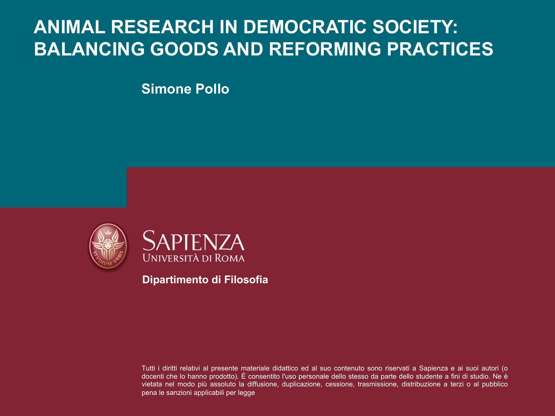### **ANIMAL RESEARCH IN DEMOCRATIC SOCIETY: BALANCING GOODS AND REFORMING PRACTICES**

**Simone Pollo**





**Dipartimento di Filosofia**

Tutti i diritti relativi al presente materiale didattico ed al suo contenuto sono riservati a Sapienza e ai suoi autori (o docenti che lo hanno prodotto). È consentito l'uso personale dello stesso da parte dello studente a fini di studio. Ne è vietata nel modo più assoluto la diffusione, duplicazione, cessione, trasmissione, distribuzione a terzi o al pubblico pena le sanzioni applicabili per legge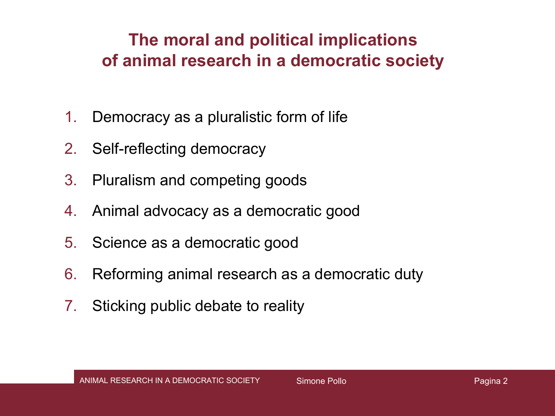#### **The moral and political implications of animal research in a democratic society**

- 1. Democracy as a pluralistic form of life
- 2. Self-reflecting democracy
- 3. Pluralism and competing goods
- 4. Animal advocacy as a democratic good
- 5. Science as a democratic good
- 6. Reforming animal research as a democratic duty
- 7. Sticking public debate to reality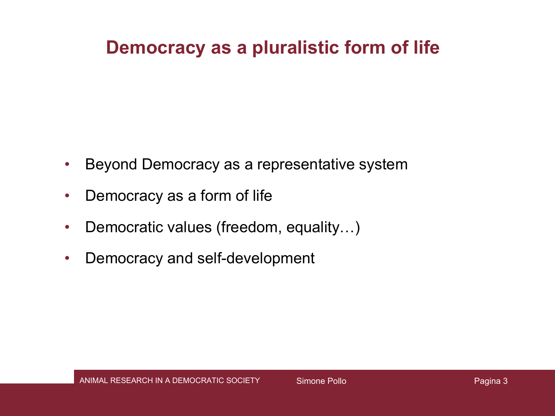#### **Democracy as a pluralistic form of life**

- Beyond Democracy as a representative system
- Democracy as a form of life
- Democratic values (freedom, equality...)
- Democracy and self-development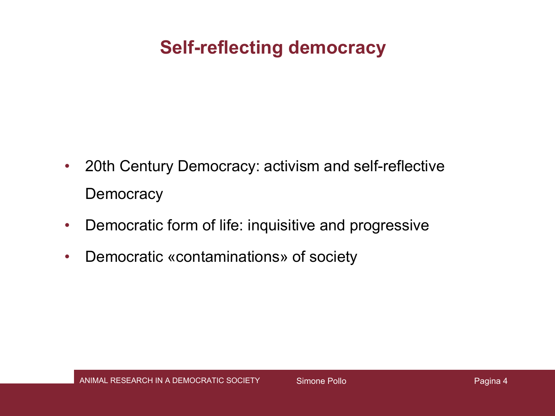## **Self-reflecting democracy**

- 20th Century Democracy: activism and self-reflective **Democracy**
- Democratic form of life: inquisitive and progressive
- Democratic «contaminations» of society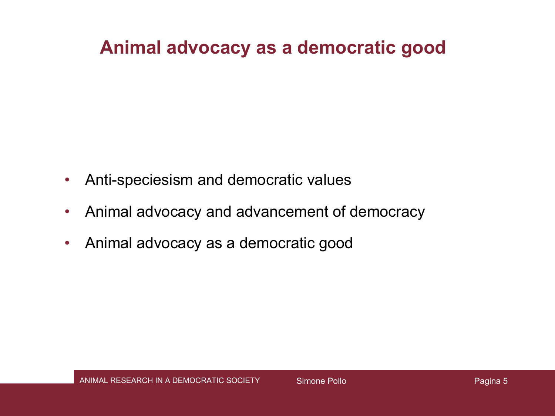#### **Animal advocacy as a democratic good**

- Anti-speciesism and democratic values
- Animal advocacy and advancement of democracy
- Animal advocacy as a democratic good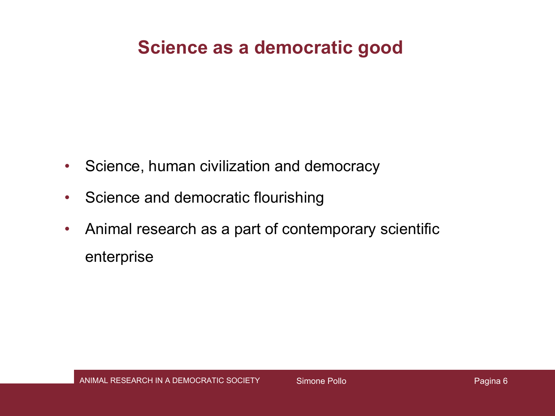### **Science as a democratic good**

- Science, human civilization and democracy
- Science and democratic flourishing
- Animal research as a part of contemporary scientific enterprise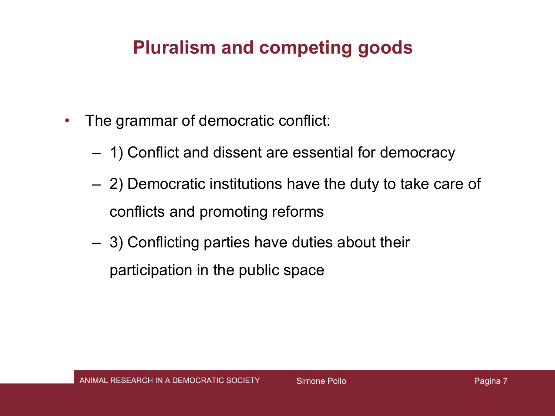## **Pluralism and competing goods**

- The grammar of democratic conflict:
	- 1) Conflict and dissent are essential for democracy
	- 2) Democratic institutions have the duty to take care of conflicts and promoting reforms
	- 3) Conflicting parties have duties about their participation in the public space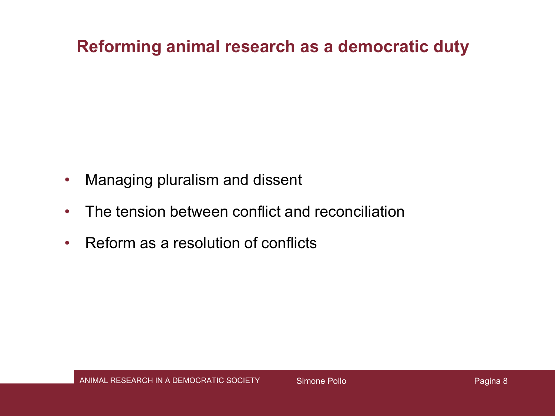#### **Reforming animal research as a democratic duty**

- Managing pluralism and dissent
- The tension between conflict and reconciliation
- Reform as a resolution of conflicts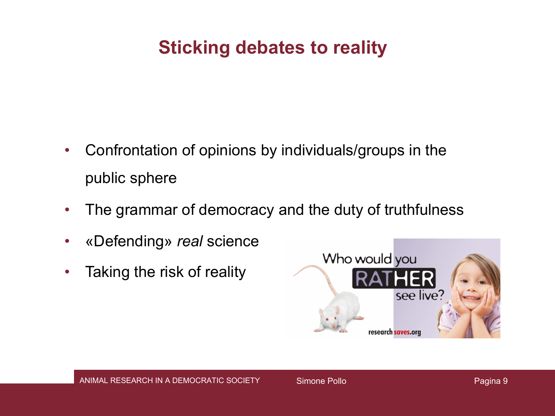### **Sticking debates to reality**

- Confrontation of opinions by individuals/groups in the public sphere
- The grammar of democracy and the duty of truthfulness
- «Defending» *real* science
- Taking the risk of reality